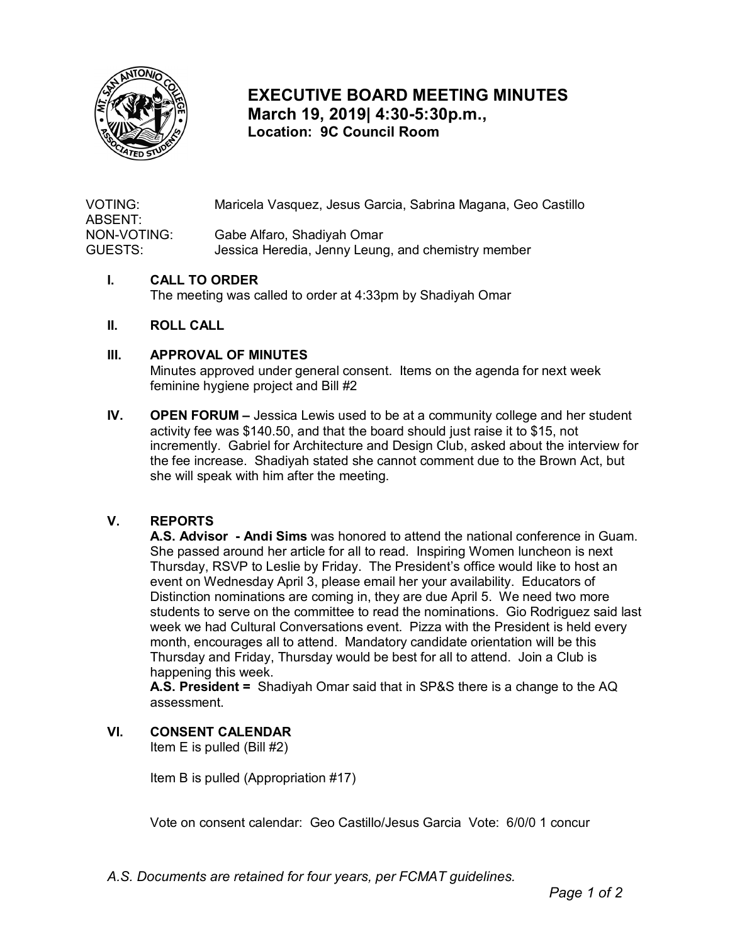

# **EXECUTIVE BOARD MEETING MINUTES March 19, 2019| 4:30-5:30p.m., Location: 9C Council Room**

VOTING: Maricela Vasquez, Jesus Garcia, Sabrina Magana, Geo Castillo ABSENT: NON-VOTING: Gabe Alfaro, Shadiyah Omar GUESTS: Jessica Heredia, Jenny Leung, and chemistry member

#### **I. CALL TO ORDER**

The meeting was called to order at 4:33pm by Shadiyah Omar

#### **II. ROLL CALL**

#### **III. APPROVAL OF MINUTES**

 Minutes approved under general consent. Items on the agenda for next week feminine hygiene project and Bill #2

 **IV. OPEN FORUM –** Jessica Lewis used to be at a community college and her student activity fee was \$140.50, and that the board should just raise it to \$15, not incremently. Gabriel for Architecture and Design Club, asked about the interview for the fee increase. Shadiyah stated she cannot comment due to the Brown Act, but she will speak with him after the meeting.

#### **V. REPORTS**

 **A.S. Advisor - Andi Sims** was honored to attend the national conference in Guam. She passed around her article for all to read. Inspiring Women luncheon is next event on Wednesday April 3, please email her your availability. Educators of week we had Cultural Conversations event. Pizza with the President is held every Thursday and Friday, Thursday would be best for all to attend. Join a Club is happening this week. Thursday, RSVP to Leslie by Friday. The President's office would like to host an Distinction nominations are coming in, they are due April 5. We need two more students to serve on the committee to read the nominations. Gio Rodriguez said last month, encourages all to attend. Mandatory candidate orientation will be this

 assessment. **A.S. President =** Shadiyah Omar said that in SP&S there is a change to the AQ

### **VI. CONSENT CALENDAR**

Item E is pulled (Bill #2)

Item B is pulled (Appropriation #17)

Vote on consent calendar: Geo Castillo/Jesus Garcia Vote: 6/0/0 1 concur

*A.S. Documents are retained for four years, per FCMAT guidelines.*